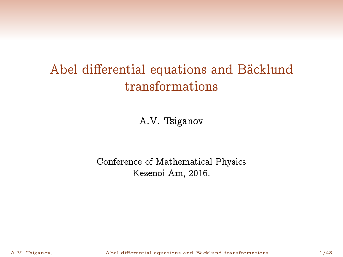# <span id="page-0-0"></span>Abel differential equations and Bäcklund transformations

A.V. Tsiganov

#### Conference of Mathematical Physics Kezenoi-Am, 2016.

A.V. Tsiganov, **Abel differential equations and Bäcklund transformations** 1/43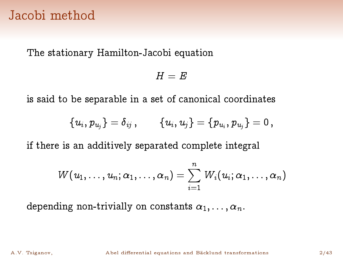### Jacobi method

The stationary Hamilton-Jacobi equation

$$
H=E
$$

is said to be separable in a set of canonical coordinates

$$
\left\{\,u_{i},\,p_{\,u_{\!j}}\,\right\} = \delta_{\,ij} \;,\qquad \left\{\,u_{i},\,u_{j}\,\right\} = \left\{\,p_{\,u_{i}},\,p_{\,u_{j}}\,\right\} = 0\;,
$$

if there is an additively separated complete integral

$$
W(u_1,\ldots,u_n;\alpha_1,\ldots,\alpha_n)=\sum_{i=1}^n\,W_i(u_i;\alpha_1,\ldots,\alpha_n)
$$

depending non-trivially on constants  $\alpha_1, \ldots, \alpha_n$ .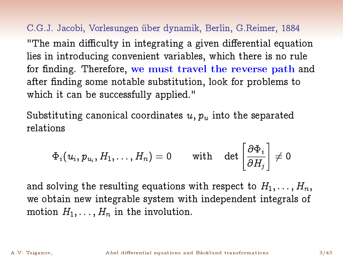C.G.J. Jacobi, Vorlesungen über dynamik, Berlin, G.Reimer, 1884 "The main difficulty in integrating a given differential equation lies in introducing convenient variables, which there is no rule for finding. Therefore, we must travel the reverse path and after finding some notable substitution, look for problems to which it can be successfully applied."

Substituting canonical coordinates  $u, p_u$  into the separated relations

$$
\Phi_i(u_i,p_{u_i},H_1,\ldots,H_n)=0\qquad\text{with}\quad \det\left[\frac{\partial\Phi_i}{\partial H_j}\right]\neq 0
$$

and solving the resulting equations with respect to  $H_1, \ldots, H_n$ , we obtain new integrable system with independent integrals of motion  $H_1, \ldots, H_n$  in the involution.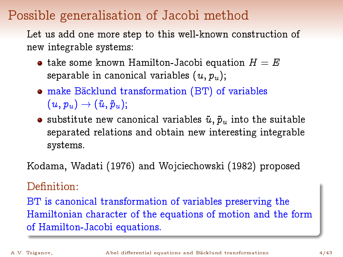# Possible generalisation of Jacobi method

Let us add one more step to this well-known construction of new integrable systems:

- take some known Hamilton-Jacobi equation  $H = E$ separable in canonical variables  $(u, p_u)$ ;
- make Bäcklund transformation (BT) of variables  $(u, p_u) \rightarrow (\tilde{u}, \tilde{p}_u);$
- substitute new canonical variables  $\tilde{u}, \tilde{p}_u$  into the suitable separated relations and obtain new interesting integrable systems.

Kodama, Wadati (1976) and Wojciechowski (1982) proposed

#### Definition:

BT is canonical transformation of variables preserving the Hamiltonian character of the equations of motion and the form of Hamilton-Jacobi equations.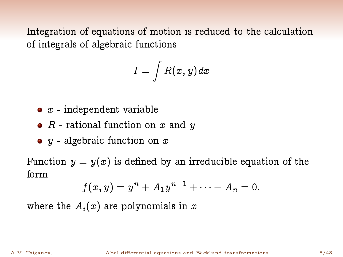Integration of equations of motion is reduced to the calculation of integrals of algebraic functions

$$
I=\int R(x,y)dx
$$

- $\bullet$   $x$  independent variable
- $R$  rational function on  $x$  and  $y$
- $\bullet$  y algebraic function on x

Function  $y = y(x)$  is defined by an irreducible equation of the form

$$
f(x,y)=y^n+A_1y^{n-1}+\cdots+A_n=0.
$$

where the  $A_i(x)$  are polynomials in x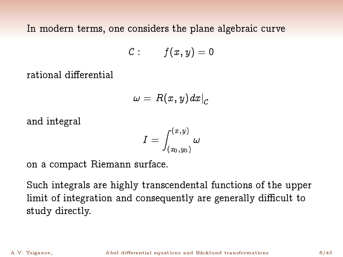In modern terms, one considers the plane algebraic curve

$$
\mathcal{C}:\qquad f(x,y)=0
$$

rational differential

$$
\omega \, = \, R(\,x,\,y\,)dx\big|_{{\cal C}}
$$

and integral

$$
I=\int_{(x_0,y_0)}^{(x,y)}\omega
$$

on a compact Riemann surface.

Such integrals are highly transcendental functions of the upper limit of integration and consequently are generally difficult to study directly.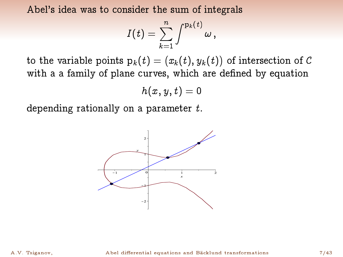Abel's idea was to consider the sum of integrals

$$
I(t)=\sum_{k=1}^n\int^{\mathrm{p}_k(t)}\omega\,,
$$

to the variable points  $\mathrm{p}_k(t) = (x_k(t),y_k(t))$  of intersection of  $\mathcal C$ with a a family of plane curves, which are defined by equation

$$
h(x,y,t)=0
$$

depending rationally on a parameter  $t$ .

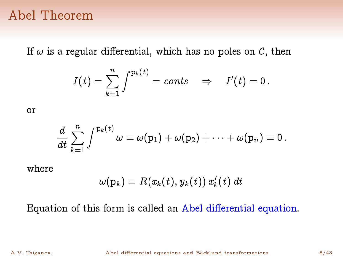### Abel Theorem

If  $\omega$  is a regular differential, which has no poles on  $C$ , then

$$
I(t)=\sum_{k=1}^n\int^{\mathrm{p}_k(t)}=const\quad\Rightarrow\quad I'(t)=0\,.
$$

or

$$
\frac{d}{dt}\sum_{k=1}^n \int^{\mathrm{p}_k(t)} \omega = \omega(\mathrm{p}_1) + \omega(\mathrm{p}_2) + \cdots + \omega(\mathrm{p}_n) = 0\,.
$$

where

$$
\omega(\mathrm{p}_k)=R(x_k(t),y_k(t))\ x_k'(t)\ dt
$$

Equation of this form is called an Abel differential equation.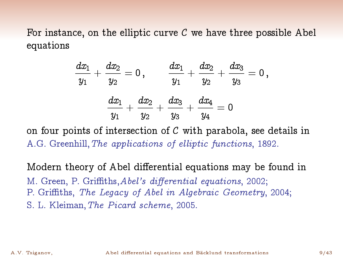For instance, on the elliptic curve  $C$  we have three possible Abel equations

$$
\begin{aligned}\frac{dx_1}{y_1}+\frac{dx_2}{y_2}=0\,,\qquad\frac{dx_1}{y_1}+\frac{dx_2}{y_2}+\frac{dx_3}{y_3}=0\,,\\ \frac{dx_1}{y_1}+\frac{dx_2}{y_2}+\frac{dx_3}{y_3}+\frac{dx_4}{y_4}=0\end{aligned}
$$

on four points of intersection of  $C$  with parabola, see details in A.G. Greenhill,The applications of elliptic functions, 1892.

Modern theory of Abel differential equations may be found in M. Green, P. Griffiths, Abel's differential equations, 2002; P. Griths, The Legacy of Abel in Algebraic Geometry, 2004; S. L. Kleiman,The Picard scheme, 2005.

A.V. Tsiganov, C. Abel differential equations and Bäcklund transformations 9/43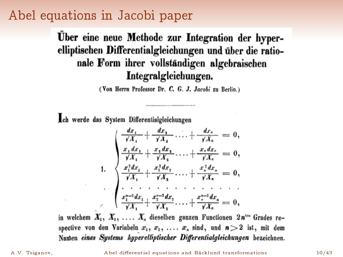# Abel equations in Jacobi paper

Uber eine neue Methode zur Integration der hyperelliptischen Differentialgleichungen und über die rationale Form ihrer vollständigen algebraischen Integralgleichungen.

(Von Herrn Professor Dr. C. G. J. Jacobi zu Berlin.)

ch werde das System Differentialgleichungen

1.  
\n
$$
\begin{cases}\n\frac{dx_1}{\sqrt{X_1}} + \frac{dx_1}{\sqrt{X_1}} \dots + \frac{dx_n}{\sqrt{X_n}} = 0, \\
\frac{x_1 dx_1}{\sqrt{X_1}} + \frac{x_2 dx_1}{\sqrt{X_2}} \dots + \frac{x_n dx_n}{\sqrt{X_n}} = 0, \\
\frac{x_1^2 dx_1}{\sqrt{X_1}} + \frac{x_2^2 dx_2}{\sqrt{X_1}} \dots + \frac{x_n^2 dx_n}{\sqrt{X_n}} = 0, \\
\vdots \\
\frac{x_1^{n-2} dx_1}{\sqrt{X_1}} + \frac{x_2^{n-2} dx_2}{\sqrt{X_2}} \dots + \frac{x_n^{n-2} dx_n}{\sqrt{X_n}} = 0,\n\end{cases}
$$

in welchem  $X_1, X_2, \ldots, X_n$  dieselben ganzen Functionen  $2n^{ten}$  Grades respective von den Variabeln  $x_1, x_2, \ldots x_n$  sind, und  $n > 2$  ist, mit dem Namen eines Systems hyperelliptischer Differentialgleichungen bezeichnen.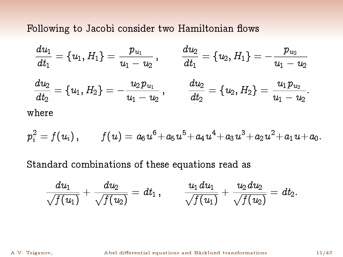Following to Jacobi consider two Hamiltonian flows

$$
\begin{aligned}\n\frac{d u_1}{d t_1} &= \{ u_1, H_1 \} = \frac{p_{u_1}}{u_1 - u_2}\,, &\qquad \frac{d u_2}{d t_1} &= \{ u_2, H_1 \} = - \frac{p_{u_2}}{u_1 - u_2} \\
\frac{d u_2}{d t_2} &= \{ u_1, H_2 \} = - \frac{u_2 p_{u_1}}{u_1 - u_2}\,, &\qquad \frac{d u_2}{d t_2} &= \{ u_2, H_2 \} = \frac{u_1 p_{u_2}}{u_1 - u_2}.\n\end{aligned}
$$
\nwhere

$$
p_i^2=f(u_i)\,,\qquad f(u)=a_6\;\!u^6\!+a_5\;\!u^5\!+a_4\;\!u^4\!+a_3\;\!u^3\!+a_2\;\!u^2\!+a_1\;\!u\!+a_0.
$$

Standard combinations of these equations read as

$$
\frac{du_1}{\sqrt{f(u_1)}}+\frac{du_2}{\sqrt{f(u_2)}}=dt_1\,,\qquad \frac{u_1du_1}{\sqrt{f(u_1)}}+\frac{u_2du_2}{\sqrt{f(u_2)}}=dt_2.
$$

A.V. Tsiganov, **Abel differential equations and Bäcklund transformations** 11/43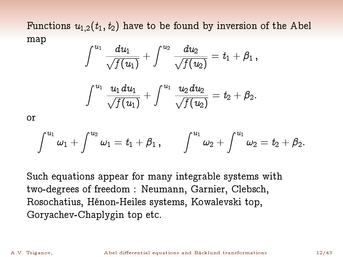Functions  $u_{1,2}(t_1,t_2)$  have to be found by inversion of the Abel map

$$
\int^{u_1} \frac{du_1}{\sqrt{f(u_1)}} + \int^{u_2} \frac{du_2}{\sqrt{f(u_2)}} = t_1 + \beta_1 \,,
$$

$$
\int^{u_1} \frac{u_1 du_1}{\sqrt{f(u_1)}} + \int^{u_1} \frac{u_2 du_2}{\sqrt{f(u_2)}} = t_2 + \beta_2.
$$

or

$$
\int^{u_1} \omega_1 + \int^{u_2} \omega_1 = t_1 + \beta_1 \,, \qquad \int^{u_1} \omega_2 + \int^{u_1} \omega_2 = t_2 + \beta_2.
$$

Such equations appear for many integrable systems with two-degrees of freedom : Neumann, Garnier, Clebsch, Rosochatius, Hénon-Heiles systems, Kowalevski top, Goryachev-Chaplygin top etc.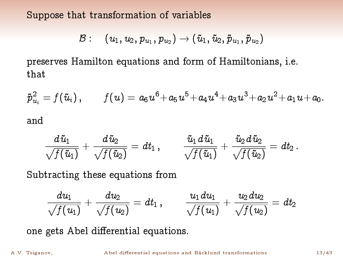Suppose that transformation of variables

$$
\mathcal{B}: \quad (\, u_1, u_2, p_{\,u_1}, p_{\,u_2}) \rightarrow (\, \tilde{u}_1, \, \tilde{u}_2, \, \tilde{p}_{\,u_1}, \, \tilde{p}_{\,u_2}\,)
$$

preserves Hamilton equations and form of Hamiltonians, i.e. that

$$
{\tilde p}^2_{u_i}=f(\tilde u_i)\,,\qquad f(u)=a_6u^6+a_5u^5+a_4u^4+a_3u^3+a_2u^2+a_1u+a_0.
$$
 and

$$
\frac{d\,\tilde u_1}{\sqrt{f(\tilde u_1)}}+\frac{d\,\tilde u_2}{\sqrt{f(\tilde u_2)}}=dt_1\,,\qquad \frac{\tilde u_1\,d\,\tilde u_1}{\sqrt{f(\tilde u_1)}}+\frac{\tilde u_2\,d\,\tilde u_2}{\sqrt{f(\tilde u_2)}}=dt_2\,.
$$

Subtracting these equations from

$$
\frac{du_1}{\sqrt{f(u_1)}}+\frac{du_2}{\sqrt{f(u_2)}}=dt_1\,,\qquad \frac{u_1\,du_1}{\sqrt{f(u_1)}}+\frac{u_2\,du_2}{\sqrt{f(u_2)}}=dt_2
$$

one gets Abel differential equations.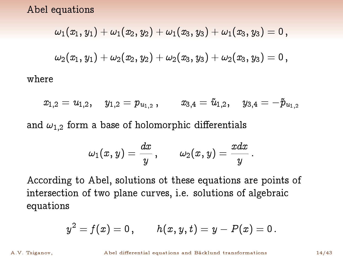Abel equations

wher

$$
\omega_1(x_1,y_1)+\omega_1(x_2,y_2)+\omega_1(x_3,y_3)+\omega_1(x_3,y_3)=0\,,\\[.2em]\omega_2(x_1,y_1)+\omega_2(x_2,y_2)+\omega_2(x_3,y_3)+\omega_2(x_3,y_3)=0\,,\\[.2em]
$$

 $x_{1,2} = u_{1,2}, \quad y_{1,2} = p_{u_{1,2}}$  $x_{3,4} = \tilde{u}_{1,2}, \quad y_{3,4} = -\tilde{p}_{u_{1,2}}$ and  $\omega_{1,2}$  form a base of holomorphic differentials

$$
\omega_1(x,y)=\frac{dx}{y}\;\! ,\qquad \omega_2(x,y)=\frac{xdx}{y}
$$

:

According to Abel, solutions ot these equations are points of intersection of two plane curves, i.e. solutions of algebraic equations

$$
y^2=f(x)=0\,,\qquad h(x,y,t)=y-P(x)=0\,.
$$

A.V. Tsiganov, **Abel differential equations and Bäcklund transformations** 14/43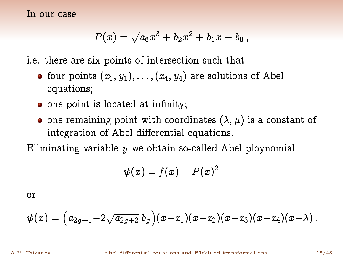In our case

$$
P(x) = \sqrt{a_6}x^3 + b_2x^2 + b_1x + b_0,
$$

i.e. there are six points of intersection such that

- four points  $(x_1, y_1), \ldots, (x_4, y_4)$  are solutions of Abel equations;
- $\bullet$  one point is located at infinity;
- one remaining point with coordinates  $(\lambda, \mu)$  is a constant of integration of Abel differential equations.

Eliminating variable  $y$  we obtain so-called Abel ploynomial

$$
\psi(x)=f(x)-P(x)^2
$$

or

$$
\psi(x)=\Big(a_{2g+1}\!-\!2\sqrt{a_{2g+2}}\;b_g\Big)(x\!-\!x_1)(x\!-\!x_2)(x\!-\!x_3)(x\!-\!x_4)(x\!-\!\lambda)\,.
$$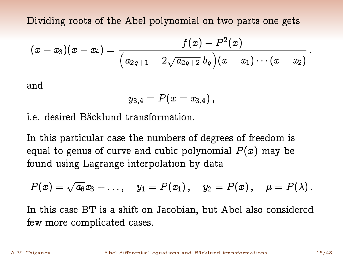Dividing roots of the Abel polynomial on two parts one gets

$$
(x-x_3)(x-x_4)=\frac{f(x)-P^2(x)}{\Big(a_{2\,g+1}-2\sqrt{a_{2g+2}}\;b_g\Big)(x-x_1)\cdots(x-x_2)}
$$

and

$$
y_{3,4}=P(x=x_{3,4})\,,
$$

i.e. desired Bäcklund transformation.

In this particular case the numbers of degrees of freedom is equal to genus of curve and cubic polynomial  $P(x)$  may be found using Lagrange interpolation by data

$$
P(x) = \sqrt{a_6}x_3 + \ldots
$$
,  $y_1 = P(x_1)$ ,  $y_2 = P(x)$ ,  $\mu = P(\lambda)$ .

In this case BT is a shift on Jacobian, but Abel also considered few more complicated cases.

: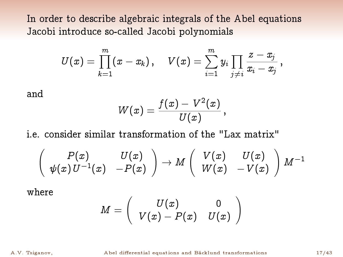In order to describe algebraic integrals of the Abel equations Jacobi introduce so-called Jacobi polynomials

$$
U(x)=\prod_{k=1}^m(x-x_k)\;\!,\quad V(x)=\sum_{i=1}^m y_i\prod_{j\neq i}\frac{z-x_j}{x_i-x_j}\;\! ,
$$

and

$$
W(x)=\frac{f(x)-V^2(x)}{U(x)},
$$

i.e. consider similar transformation of the "Lax matrix"

$$
\left(\begin{array}{cc}P(x)&U(x)\\ \psi(x)\,U^{-1}(x)&-P(x)\end{array}\right)\rightarrow M\left(\begin{array}{cc}V(x)&U(x)\\ W(x)&-V(x)\end{array}\right)M^{-1}
$$

where

$$
M=\left(\begin{array}{cc}U(x)&0\\V(x)-P(x)&U(x)\end{array}\right)
$$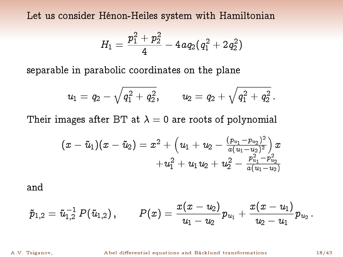Let us consider Hénon-Heiles system with Hamiltonian

$$
H_1=\frac{p_1^2+p_2^2}{4}-4\,a q_2 (q_1^2+2q_2^2)
$$

separable in parabolic coordinates on the plane

$$
u_1\,=\,q_2\,-\,\sqrt{q_1^{\,2}\,+\,q_2^{\,2}}\,,\qquad \ \, u_2\,=\,q_2\,+\,\sqrt{q_1^{\,2}\,+\,q_2^{\,2}}\,.
$$

Their images after BT at  $\lambda = 0$  are roots of polynomial

$$
(x-\tilde{u}_1)(x-\tilde{u}_2)=x^2+\Big(u_1+u_2-\frac{(p_{u_1}-p_{u_2})^2}{a(u_1-u_2)^2}\Big)x\\+u_1^2+u_1u_2+u_2^2-\frac{p_{u_1}^2-p_{u_2}^2}{a(u_1-u_2)}
$$

and

$$
\tilde{p}_{1,2}=\tilde{u}_{1,2}^{-1}\,P(\tilde{u}_{1,2})\,,\qquad P(x)=\frac{x(x-u_2)}{u_1-u_2}p_{u_1}+\frac{x(x-u_1)}{u_2-u_1}p_{u_2}\,.
$$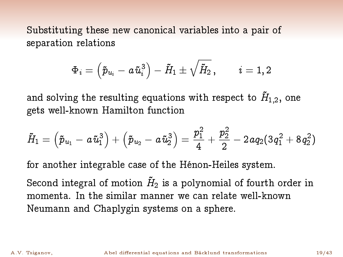Substituting these new canonical variables into a pair of separation relations

$$
\Phi_i=\left(\tilde{p}_{u_i}-a\,\tilde{u}_i^3\right)-\tilde{H}_1\pm\sqrt{\tilde{H}_2}\,,\qquad i=1,2
$$

and solving the resulting equations with respect to  $\tilde{H}_{1,2}$ , one gets well-known Hamilton function

$$
\tilde{\mathit{H}}_1 = \left( \tilde{p}_{u_1} - a \, \tilde{u}_1^3 \right) + \left( \tilde{p}_{u_2} - a \, \tilde{u}_2^3 \right) = \frac{p_1^2}{4} + \frac{p_2^2}{2} - 2a q_2 (3 \, q_1^2 + 8 \, q_2^2)
$$

for another integrable case of the Hénon-Heiles system.

Second integral of motion  $\tilde H_2$  is a polynomial of fourth order in momenta. In the similar manner we can relate well-known Neumann and Chaplygin systems on a sphere.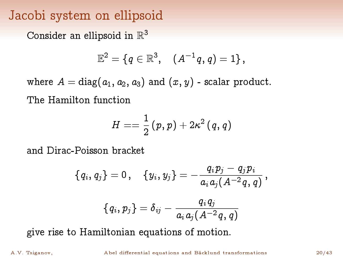# Jacobi system on ellipsoid

Consider an ellipsoid in  $\mathbb{R}^3$ 

$$
\mathbb{E}^2 = \{ \, q \in \mathbb{R}^3, \quad (A^{-1}q, q) = 1 \} \, ,
$$

where  $A = \text{diag}(a_1, a_2, a_3)$  and  $(x, y)$  - scalar product. The Hamilton function

$$
H==\frac{1}{2}\left(\,p, \, p\,\right)+2\,\kappa^2\left(\,q, \, q\,\right)
$$

and Dirac-Poisson bracket

$$
\{\,q_{\hskip.4pt i},\,q_{\hskip.4pt j}\,\} = 0\,,\quad \{\,y_{\hskip.4pt i},\,y_{\hskip.4pt j}\,\} = -\frac{\,q_{\hskip.7pt i}\,p_{\hskip.7pt j}\,-\,q_{\hskip.7pt j}\,p_{\hskip.7pt i}}{a_{\hskip.7pt i}\,a_{\hskip.7pt j}\,(A^{-2}\,q_{\hskip.7pt q}\,q\,)}\,,
$$

$$
\{\,q_{\,i},\,p_{\,j}\,\} \,=\, \delta_{\,ij} \,-\, \frac{q_{\,i}\,q_{\,j}}{a_{\,i}\,a_{j}\,(\,A^{\,-\,2}\,q\,,\,q\,)}
$$

give rise to Hamiltonian equations of motion.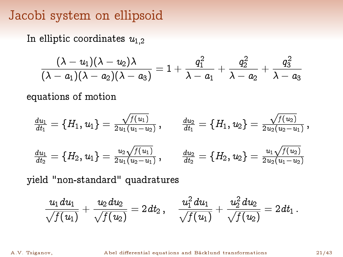# Jacobi system on ellipsoid

In elliptic coordinates  $u_{1,2}$ 

$$
\frac{(\lambda-u_1)(\lambda-u_2)\lambda}{(\lambda-a_1)(\lambda-a_2)(\lambda-a_3)}=1+\frac{q_1^2}{\lambda-a_1}+\frac{q_2^2}{\lambda-a_2}+\frac{q_3^2}{\lambda-a_3}
$$

equations of motion

$$
\begin{aligned}\n\frac{du_1}{dt_1} &= \left\{H_1, u_1\right\} = \frac{\sqrt{f(u_1)}}{2u_1(u_1 - u_2)}\,, & \frac{du_2}{dt_1} &= \left\{H_1, u_2\right\} = \frac{\sqrt{f(u_2)}}{2u_2(u_2 - u_1)}\,, \\
\frac{du_1}{dt_2} &= \left\{H_2, u_1\right\} = \frac{u_2\sqrt{f(u_1)}}{2u_1(u_2 - u_1)}\,, & \frac{du_2}{dt_2} &= \left\{H_2, u_2\right\} = \frac{u_1\sqrt{f(u_2)}}{2u_2(u_1 - u_2)}\n\end{aligned}
$$

yield "non-standard" quadratures

$$
\frac{u_1\,du_1}{\sqrt{f(u_1)}}+\frac{u_2\,du_2}{\sqrt{f(u_2)}}=2\,dt_2\,,\quad \frac{u_1^2\,du_1}{\sqrt{f(u_1)}}+\frac{u_2^2\,du_2}{\sqrt{f(u_2)}}=2\,dt_1\,.
$$

A.V. Tsiganov, **Abel differential equations and Bäcklund transformations** 21/43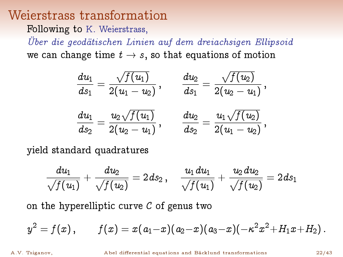#### Weierstrass transformation

Following to K. Weierstrass,

Über die geodätischen Linien auf dem dreiachsigen Ellipsoid we can change time  $t \to s$ , so that equations of motion

$$
\begin{aligned} \frac{d u_1}{d s_1}&=\frac{\sqrt{f(u_1)}}{2(u_1-u_2)}\,,\qquad \frac{d u_2}{d s_1}&=\frac{\sqrt{f(u_2)}}{2(u_2-u_1)}\,,\\[1ex] \frac{d u_1}{d s_2}&=\frac{u_2\sqrt{f(u_1)}}{2(u_2-u_1)}\,,\qquad \frac{d u_2}{d s_2}&=\frac{u_1\sqrt{f(u_2)}}{2(u_1-u_2)}\,, \end{aligned}
$$

yield standard quadratures

$$
\frac{du_1}{\sqrt{f(u_1)}}+\frac{du_2}{\sqrt{f(u_2)}}=2\hspace{0.1em}\text{d} s_2\,,\quad \frac{u_1\hspace{0.1em}\text{d} u_1}{\sqrt{f(u_1)}}+\frac{u_2\hspace{0.1em}\text{d} u_2}{\sqrt{f(u_2)}}=2\hspace{0.1em}\text{d} s_1
$$

on the hyperelliptic curve  $C$  of genus two

$$
y^2=f(x)\,,\qquad f(x)=x(a_1\!-\!x)(a_2\!-\!x)(a_3\!-\!x)(-\kappa^2\,x^2\!+\!H_1x\!+\!H_2)\,.
$$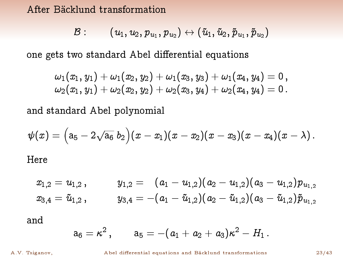#### After Bäcklund transformation

$$
\mathcal{B}:\qquad (u_1,u_2,p_{u_1},p_{u_2})\leftrightarrow(\tilde{u}_1,\tilde{u}_2,\tilde{p}_{u_1},\tilde{p}_{u_2})
$$

one gets two standard Abel differential equations

$$
\omega_1(x_1,y_1)+\omega_1(x_2,y_2)+\omega_1(x_3,y_3)+\omega_1(x_4,y_4)=0\,,\\ \omega_2(x_1,y_1)+\omega_2(x_2,y_2)+\omega_2(x_3,y_4)+\omega_2(x_4,y_4)=0\,.
$$

and standard Abel polynomial

$$
\psi(x)=\Big(\mathsf a_5-2\sqrt{\mathsf a_6}\,b_2\Big)(x-x_1)(x-x_2)(x-x_3)(x-x_4)(x-\lambda)\,.
$$
 Here

$$
\begin{array}{llll} x_{1,2} = u_{1,2} \, , & y_{1,2} = (a_1 - u_{1,2})(a_2 - u_{1,2})(a_3 - u_{1,2}) p_{u_{1,2}} \\ x_{3,4} = \tilde{u}_{1,2} \, , & y_{3,4} = -(a_1 - \tilde{u}_{1,2})(a_2 - \tilde{u}_{1,2})(a_3 - \tilde{u}_{1,2}) \tilde{p}_{u_{1,2}} \end{array}
$$

and

$$
\mathrm{a}_6 = \kappa^2 \,, \qquad \mathrm{a}_5 = -(a_1 + a_2 + a_3) \kappa^2 - H_1 \,.
$$

A.V. Tsiganov, **Abel differential equations and Bäcklund transformations** 23/43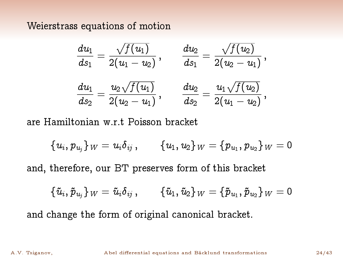Weierstrass equations of motion

$$
\begin{aligned} \frac{du_1}{ds_1} &= \frac{\sqrt{f(u_1)}}{2(u_1-u_2)}\,, \qquad \frac{du_2}{ds_1} = \frac{\sqrt{f(u_2)}}{2(u_2-u_1)}\,, \\ \frac{du_1}{ds_2} &= \frac{u_2\sqrt{f(u_1)}}{2(u_2-u_1)}\,, \qquad \frac{du_2}{ds_2} = \frac{u_1\sqrt{f(u_2)}}{2(u_1-u_2)}\,, \end{aligned}
$$

are Hamiltonian w.r.t Poisson bracket

 $\{u_i, p_{u_j}\}_W = u_i \delta_{ij} \,, \qquad \{u_1, u_2\}_W = \{p_{u_1}, p_{u_2}\}_W = 0$ 

and, therefore, our BT preserves form of this bracket

 $\{\tilde{u}_i, \tilde{p}_{u_j}\}_W = \tilde{u}_i \delta_{ij} \,, \qquad \{\tilde{u}_1, \tilde{u}_2\}_W = \{\tilde{p}_{u_1}, \tilde{p}_{u_2}\}_W = 0$ 

and change the form of original canonical bracket.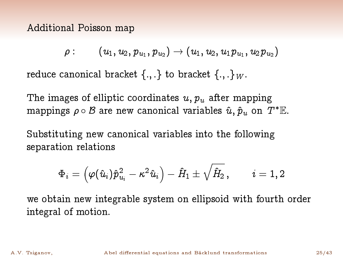Additional Poisson map

$$
\rho:\qquad (u_1,u_2,p_{\,u_1},p_{\,u_2})\to (u_1,u_2,u_1p_{\,u_1},u_2p_{\,u_2})
$$

reduce canonical bracket  $\{.,.\}$  to bracket  $\{.,.\}_W$ .

The images of elliptic coordinates  $u, p_u$  after mapping mappings  $\rho \circ \mathcal{B}$  are new canonical variables  $\hat{u}, \hat{p}_u$  on  $T^* \mathbb{E}$ .

Substituting new canonical variables into the following separation relations

$$
\Phi_i=\left(\varphi(\hat{u}_i)\hat{p}_{u_i}^2-\kappa^2\,\hat{u}_i\right)-\hat{H}_1\pm\sqrt{\hat{H}_2}\,,\qquad i=1,2
$$

we obtain new integrable system on ellipsoid with fourth order integral of motion.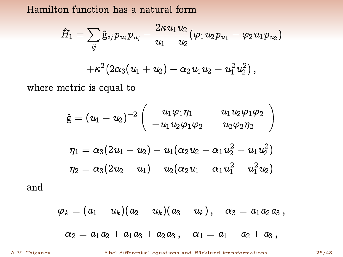Hamilton function has a natural form

$$
\begin{array}{c}\hat{H}_{1}=\sum\limits_{ij}\hat{\mathsf{g}}_{ij}\,p_{\,u_{i}}\,p_{\,u_{j}}-\frac{2\kappa\,u_{1}\,u_{2}}{u_{1}-\,u_{2}}(\varphi_{1}\,u_{2}\,p_{\,u_{1}}-\varphi_{2}\,u_{1}\,p_{\,u_{2}})\\ \\+\kappa^{2}\big(2\alpha_{3}(\,u_{1}\,+\,u_{2}\,)-\,\alpha_{2}\,u_{1}\,u_{2}\,+\,u_{1}^{2}\,u_{2}^{2}\,\big)\,,\end{array}
$$

where metric is equal to

$$
\begin{array}{l} \hat{\mathrm{g}}=(u_1-u_2)^{-2}\left(\begin{array}{cc} u_1\varphi_1\eta_1 & -u_1u_2\varphi_1\varphi_2 \\[1mm] -u_1u_2\varphi_1\varphi_2 & u_2\varphi_2\eta_2 \end{array}\right)\\[1mm] \eta_1=\alpha_3(2u_1-u_2)-u_1(\alpha_2u_2-\alpha_1u_2^2+u_1u_2^2)\\[1mm] \eta_2=\alpha_3(2u_2-u_1)-u_2(\alpha_2u_1-\alpha_1u_1^2+u_1^2u_2) \end{array}
$$

and

$$
\varphi_k=(a_1-u_k)(a_2-u_k)(a_3-u_k)\,,\quad \alpha_3=a_1a_2a_3\,,\\[3mm] \alpha_2=a_1a_2+a_1a_3+a_2a_3\,,\quad \alpha_1=a_1+a_2+a_3\,,
$$

A.V. Tsiganov, **Abel differential equations and Bäcklund transformations** 26/43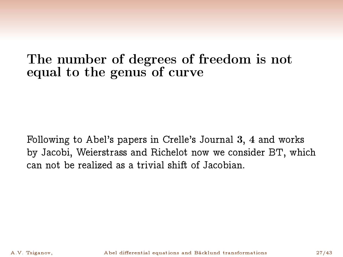### The number of degrees of freedom is not equal to the genus of curve

Following to Abel's papers in Crelle's Journal 3, 4 and works by Jacobi, Weierstrass and Richelot now we consider BT, which can not be realized as a trivial shift of Jacobian.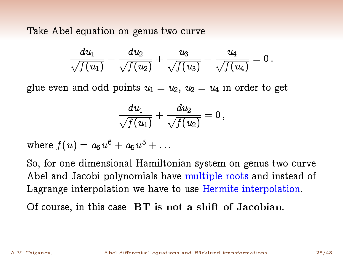Take Abel equation on genus two curve

$$
\frac{du_1}{\sqrt{f(u_1)}}+\frac{du_2}{\sqrt{f(u_2)}}+\frac{u_3}{\sqrt{f(u_3)}}+\frac{u_4}{\sqrt{f(u_4)}}=0\,.
$$

glue even and odd points  $u_1 = u_2$ ,  $u_2 = u_4$  in order to get

$$
\frac{du_1}{\sqrt{f(u_1)}} + \frac{du_2}{\sqrt{f(u_2)}} = 0 \ ,
$$

where  $f(u) = a_6 \hspace{0.5pt} u^6 + a_5 \hspace{0.5pt} u^5 + \ldots$ 

So, for one dimensional Hamiltonian system on genus two curve Abel and Jacobi polynomials have multiple roots and instead of Lagrange interpolation we have to use Hermite interpolation.

Of course, in this case BT is not a shift of Jacobian.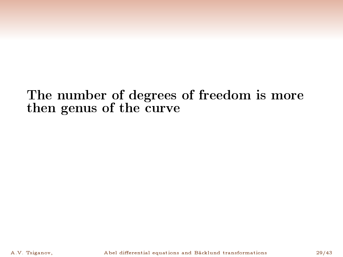## The number of degrees of freedom is more then genus of the curve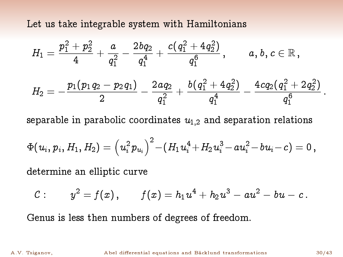Let us take integrable system with Hamiltonians

$$
\begin{aligned} H_1&=\frac{p_1^2+p_2^2}{4}+\frac{a}{q_1^2}-\frac{2\,bq_2}{q_1^4}+\frac{c\!\left(q_1^2+4\,q_2^2\right)}{q_1^6}\,,\qquad a,\,b,\,c\in\mathbb{R}\,,\\ H_2&=-\frac{p_1\!\left(p_1\,q_2-p_2\,q_1\right)}{2}-\frac{2\,aq_2}{q_1^2}+\frac{b\!\left(q_1^2+4\,q_2^2\right)}{q_1^4}-\frac{4\,c q_2\!\left(q_1^2+2\,q_2^2\right)}{q_1^6}\,.\end{aligned}
$$

separable in parabolic coordinates  $u_{1,2}$  and separation relations

$$
\Phi(u_i,p_i,H_1,H_2)=\left(u_i^2p_{u_i}\right)^2\!-\!(H_1u_i^4\!+\!H_2u_i^3\!-au_i^2\!-bu_i\!-c)=0\,,
$$

determine an elliptic curve

$$
\mathcal{C}: \qquad y^2 = f(x)\,, \qquad f(x) = h_1 u^4 + h_2 u^3 - a u^2 - b u - c\,.
$$

Genus is less then numbers of degrees of freedom.

A.V. Tsiganov, Abel differential equations and Bäcklund transformations 30/43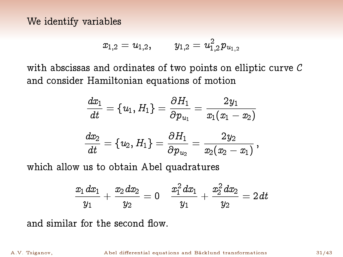We identify variables

$$
x_{1,2}=u_{1,2},\qquad y_{1,2}=u_{1,2}^2p_{u_{1,2}}
$$

with abscissas and ordinates of two points on elliptic curve C and consider Hamiltonian equations of motion

$$
\begin{aligned} \frac{dx_1}{dt} &= \{u_1,H_1\} = \frac{\partial H_1}{\partial p_{u_1}} = \frac{2\,y_1}{x_1(x_1-x_2)} \\[1ex] \frac{dx_2}{dt} &= \{u_2,H_1\} = \frac{\partial H_1}{\partial p_{u_2}} = \frac{2\,y_2}{x_2(x_2-x_1)}\,, \end{aligned}
$$

which allow us to obtain Abel quadratures

$$
\frac{x_1\,dx_1}{y_1}+\frac{x_2\,dx_2}{y_2}=0\quad \frac{x_1^2\,dx_1}{y_1}+\frac{x_2^2\,dx_2}{y_2}=2\,dt
$$

and similar for the second flow.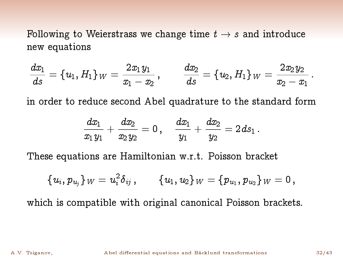Following to Weierstrass we change time  $t \rightarrow s$  and introduce new equations

$$
\frac{dx_1}{ds}=\left\{u_1,H_1\right\}_W=\frac{2x_1y_1}{x_1-x_2}\,,\qquad \frac{dx_2}{ds}=\left\{u_2,H_1\right\}_W=\frac{2x_2y_2}{x_2-x_1}\,.
$$

in order to reduce second Abel quadrature to the standard form

$$
\frac{dx_1}{x_1\,y_1}+\frac{dx_2}{x_2\,y_2}=0\,,\quad \frac{dx_1}{y_1}+\frac{dx_2}{y_2}=2\,ds_1\,.
$$

These equations are Hamiltonian w.r.t. Poisson bracket

$$
\{u_i,p_{u_j}\}_W=u_i^2\delta_{ij}\,,\qquad \{u_1,u_2\}_W=\{p_{u_1},p_{u_2}\}_W=0\,,
$$

which is compatible with original canonical Poisson brackets.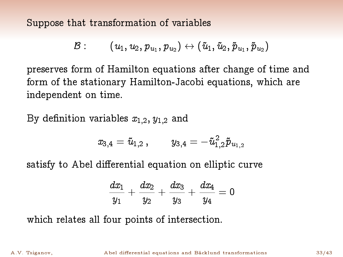Suppose that transformation of variables

$$
\mathcal{B}:\qquad (u_1,u_2,p_{u_1},p_{u_2})\leftrightarrow(\tilde{u}_1,\tilde{u}_2,\tilde{p}_{u_1},\tilde{p}_{u_2})
$$

preserves form of Hamilton equations after change of time and form of the stationary Hamilton-Jacobi equations, which are independent on time.

By definition variables  $x_{1,2}$ ,  $y_{1,2}$  and

$$
x_{3,4} = \tilde{u}_{1,2}\,, \qquad y_{3,4} = -\tilde{u}_{1,2}^2\tilde{p}_{u_{1,2}}
$$

satisfy to Abel differential equation on elliptic curve

$$
\frac{dx_1}{y_1}+\frac{dx_2}{y_2}+\frac{dx_3}{y_3}+\frac{dx_4}{y_4}=0
$$

which relates all four points of intersection.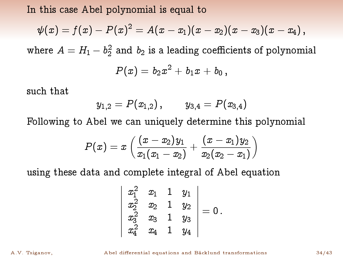In this case Abel polynomial is equal to

$$
\psi(x)=f(x)-P(x)^2=A(x-x_1)(x-x_2)(x-x_3)(x-x_4)\,,
$$

where  $A=H_1-b_2^2$  and  $b_2$  is a leading coefficients of polynomial

$$
P(x) = b_2 x^2 + b_1 x + b_0,
$$

such that

$$
y_{1,2}=P(x_{1,2}),\qquad y_{3,4}=P(x_{3,4})
$$

Following to Abel we can uniquely determine this polynomial

$$
P(x)=x\left(\frac{(x-x_2)y_1}{x_1(x_1-x_2)}+\frac{(x-x_1)y_2}{x_2(x_2-x_1)}\right)
$$

using these data and complete integral of Abel equation

$$
\left|\begin{array}{ccc} x_1^2 & x_1 & 1 & y_1 \\ x_2^2 & x_2 & 1 & y_2 \\ x_3^2 & x_3 & 1 & y_3 \\ x_4^2 & x_4 & 1 & y_4 \end{array}\right|=0\,.
$$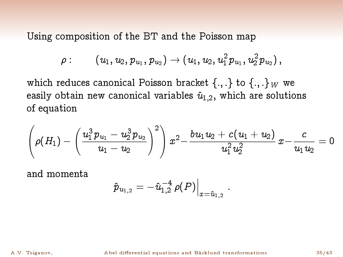Using composition of the BT and the Poisson map

$$
\rho:\qquad (u_1,u_2,p_{u_1},p_{u_2})\to (u_1,u_2,u_1^2p_{u_1},u_2^2p_{u_2})\,,
$$

which reduces canonical Poisson bracket  $\{.,.\}$  to  $\{.,.\}$  we easily obtain new canonical variables  $\hat{u}_{1,2}$ , which are solutions of equation

$$
\left(\rho(H_1) - \left(\frac{u_1^3p_{u_1}-u_2^3p_{u_2}}{u_1-u_2}\right)^2\right)x^2 - \frac{bu_1u_2 + c(u_1+u_2)}{u_1^2u_2^2}x - \frac{c}{u_1u_2} = 0
$$

:

and momenta

$$
\left.\hat{p}_{\,u_{1,2}}=-\hat{u}_{1,2}^{\,-4}\,\rho(P)\right|_{x=\hat{u}_{1,2}}
$$

A.V. Tsiganov, **Abel differential equations and Bäcklund transformations** 35/43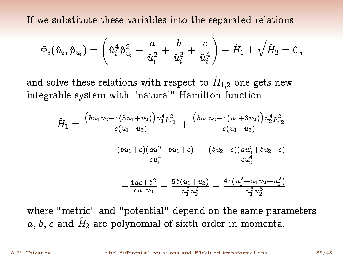If we substitute these variables into the separated relations

$$
\Phi_i(\hat{u}_i,\hat{p}_{u_i})=\left(\hat{u}_i^4\hat{p}_{u_i}^2+\frac{a}{\hat{u}_i^2}+\frac{b}{\hat{u}_i^3}+\frac{c}{\hat{u}_i^4}\right)-\hat{H}_1\pm\sqrt{\hat{H}_2}=0\,,
$$

and solve these relations with respect to  $\hat{H}_{1,2}$  one gets new integrable system with "natural" Hamilton function

$$
\hat{H}_1 = \frac{\left(bu_1u_2 + c(3u_1 + u_2)\right)u_1^4 p_{u_1}^2}{c(u_1 - u_2)} + \frac{\left(bu_1u_2 + c(u_1 + 3u_2)\right)u_2^4 p_{u_2}^2}{c(u_1 - u_2)} \\
-\frac{\left(bu_1 + c\right)\left(au_1^2 + bu_1 + c\right)}{cu_1^4} - \frac{\left(bu_2 + c\right)\left(au_2^2 + bu_2 + c\right)}{cu_2^4} \\
-\frac{4ac + b^2}{cu_1u_2} - \frac{5b\left(u_1 + u_2\right)}{u_1^2u_2^2} - \frac{4c\left(u_1^2 + u_1u_2 + u_2^2\right)}{u_1^3u_2^3}
$$

where "metric" and "potential" depend on the same parameters a, b, c and  $\hat{H}_2$  are polynomial of sixth order in momenta.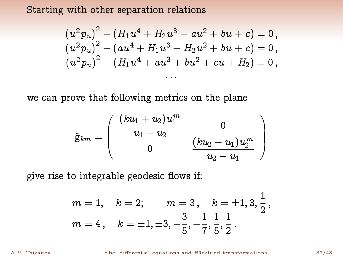Starting with other separation relations

$$
\frac{\left(u^2 p_u\right)^2-\left(H_1 u^4+H_2 u^3+au^2+b u+c\right)=0}{\left(u^2 p_u\right)^2-\left(au^4+H_1 u^3+H_2 u^2+b u+c\right)=0}{\left(u^2 p_u\right)^2-\left(H_1 u^4+au^3+b u^2+cu+H_2\right)=0}\,,\\ \cdots
$$

we can prove that following metrics on the plane

$$
\hat{\mathrm{g}}_{km} = \left(\begin{array}{cc} \displaystyle \frac{(ku_1 + u_2)u_1^m}{u_1 - u_2} & 0 \\ 0 & \displaystyle \frac{(ku_2 + u_1)u_2^m}{u_2 - u_1} \end{array}\right)
$$

give rise to integrable geodesic flows if:

$$
m=1, \quad k=2; \qquad m=3 \, , \quad k=\pm 1,3,\frac{1}{2} \, ,\\ m=4 \, , \quad k=\pm 1, \pm 3, -\frac{3}{5},-\frac{1}{7},\frac{1}{5},\frac{1}{2} \, .
$$

A.V. Tsiganov, **Abel differential equations and Bäcklund transformations** 37/43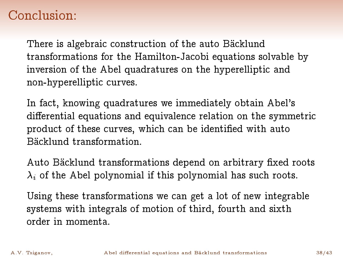# Conclusion:

There is algebraic construction of the auto Bäcklund transformations for the Hamilton-Jacobi equations solvable by inversion of the Abel quadratures on the hyperelliptic and non-hyperelliptic curves.

In fact, knowing quadratures we immediately obtain Abel's differential equations and equivalence relation on the symmetric product of these curves, which can be identified with auto Bäcklund transformation.

Auto Bäcklund transformations depend on arbitrary fixed roots  $\lambda_i$  of the Abel polynomial if this polynomial has such roots.

Using these transformations we can get a lot of new integrable systems with integrals of motion of third, fourth and sixth order in momenta.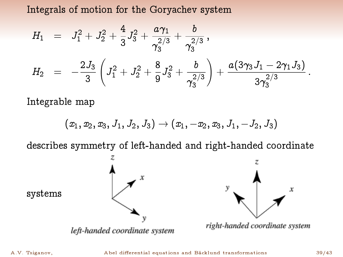Integrals of motion for the Goryachev system

$$
H_1 = J_1^2 + J_2^2 + \frac{4}{3}J_3^2 + \frac{a\gamma_1}{\gamma_3^{2/3}} + \frac{b}{\gamma_3^{2/3}},
$$
  
\n
$$
H_2 = -\frac{2J_3}{3}\left(J_1^2 + J_2^2 + \frac{8}{9}J_3^2 + \frac{b}{\gamma_3^{2/3}}\right) + \frac{a(3\gamma_3 J_1 - 2\gamma_1 J_3)}{3\gamma_3^{2/3}}.
$$

Integrable map

$$
(x_1,x_2,x_3,J_1,J_2,J_3)\rightarrow (x_1,-x_2,x_3,J_1,-J_2,J_3)
$$

describes symmetry of left-handed and right-handed coordinate

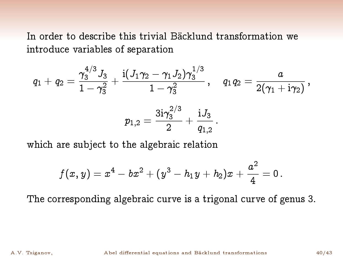In order to describe this trivial Bäcklund transformation we introduce variables of separation

$$
q_1+q_2=\frac{\gamma_3^{4/3}\,J_3}{1-\gamma_3^2}+\frac{\mathrm{i}(J_1\gamma_2-\gamma_1\,J_2)\gamma_3^{1/3}}{1-\gamma_3^2}\,,\quad q_1q_2=\frac{a}{2(\gamma_1+\mathrm{i}\gamma_2)}\,,\\ p_{1,2}=\frac{3\mathrm{i}\gamma_3^{2/3}}{2}+\frac{\mathrm{i} J_3}{q_{1,2}}\,.
$$

which are subject to the algebraic relation

$$
f(x,y)=x^4-bx^2+(y^3-h_1y+h_2)x+\frac{a^2}{4}=0\,.
$$

The corresponding algebraic curve is a trigonal curve of genus 3.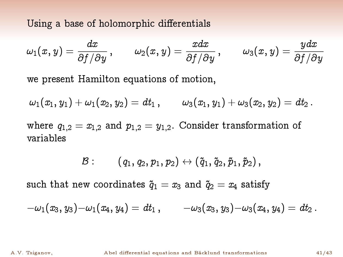Using a base of holomorphic differentials

$$
\omega_1(x,y)=\frac{dx}{\partial f/\partial y}\,,\qquad \omega_2(x,y)=\frac{xdx}{\partial f/\partial y}\,,\qquad \omega_3(x,y)=\frac{ydx}{\partial f/\partial y}
$$

we present Hamilton equations of motion,

 $\omega_1(x_1, y_1) + \omega_1(x_2, y_2) = dt_1$ ,  $\omega_3(x_1, y_1) + \omega_3(x_2, y_2) = dt_2$ .

where  $q_{1,2} = x_{1,2}$  and  $p_{1,2} = y_{1,2}$ . Consider transformation of variables

$$
\mathcal{B}: \qquad (q_1, q_2, p_1, p_2) \leftrightarrow (\tilde{q}_1, \tilde{q}_2, \tilde{p}_1, \tilde{p}_2),
$$

such that new coordinates  $\tilde{q}_1 = x_3$  and  $\tilde{q}_2 = x_4$  satisfy

$$
-\omega_1(x_3,y_3)-\omega_1(x_4,y_4)=dt_1\,,\qquad -\omega_3(x_3,y_3)-\omega_3(x_4,y_4)=dt_2\,.
$$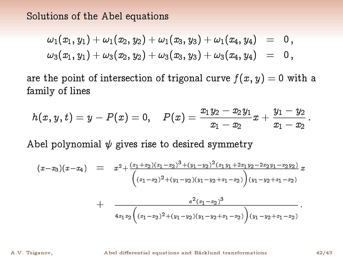Solutions of the Abel equations

$$
\begin{array}{lcl} \omega_1(x_1,y_1)+\omega_1(x_2,y_2)+\omega_1(x_3,y_3)+\omega_1(x_4,y_4) & = & 0\,,\\ \omega_3(x_1,y_1)+\omega_3(x_2,y_2)+\omega_3(x_3,y_3)+\omega_3(x_4,y_4) & = & 0\,, \end{array}
$$

are the point of intersection of trigonal curve  $f(x, y) = 0$  with a family of lines

$$
h(x,y,t)=y-P(x)=0,\quad P(x)=\frac{x_1y_2-x_2y_1}{x_1-x_2}x+\frac{y_1-y_2}{x_1-x_2}\,.
$$

Abel polynomial 
$$
\psi
$$
 gives rise to desired symmetry  
\n
$$
(x-x_3)(x-x_4) = x^2 + \frac{(x_1+x_2)(x_1-x_2)^3 + (y_1-y_2)^2(x_1y_1+2x_1y_2-2x_2y_1-x_2y_2)}{(x_1-x_2)^2 + (y_1-y_2)(y_1-y_2+x_1-x_2)} \frac{x^2(x_1-x_2)^3 + (y_1-y_2)(y_1-y_2+x_1-x_2)}{(x_1-x_2)^3}
$$

A.V. Tsiganov, **Abel differential equations and Bäcklund transformations** 42/43